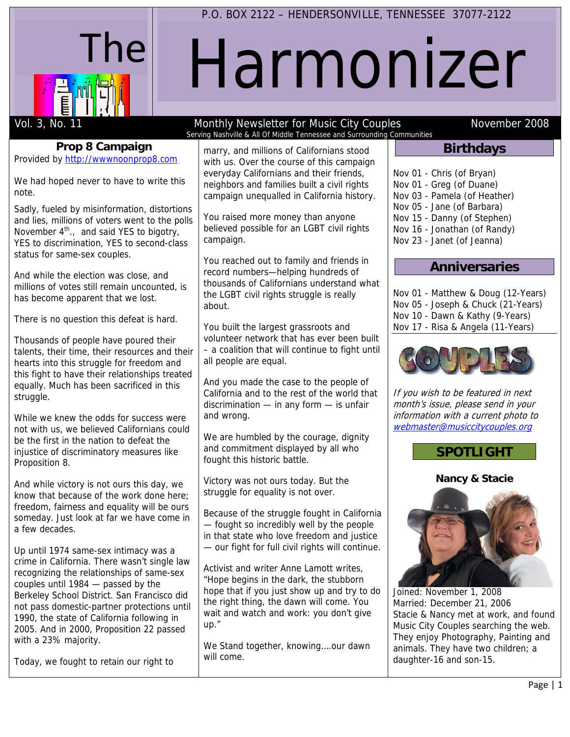

# Harmonizer

**Prop 8 Campaign**  Provided by http://wwwnoonprop8.com

We had hoped never to have to write this note.

Sadly, fueled by misinformation, distortions and lies, millions of voters went to the polls November  $4^{th}$ ., and said YES to bigotry, YES to discrimination, YES to second-class status for same-sex couples.

And while the election was close, and millions of votes still remain uncounted, is has become apparent that we lost.

There is no question this defeat is hard.

Thousands of people have poured their talents, their time, their resources and their hearts into this struggle for freedom and this fight to have their relationships treated equally. Much has been sacrificed in this struggle.

While we knew the odds for success were not with us, we believed Californians could be the first in the nation to defeat the injustice of discriminatory measures like Proposition 8.

And while victory is not ours this day, we know that because of the work done here; freedom, fairness and equality will be ours someday. Just look at far we have come in a few decades.

Up until 1974 same-sex intimacy was a crime in California. There wasn't single law recognizing the relationships of same-sex couples until 1984 — passed by the Berkeley School District. San Francisco did not pass domestic-partner protections until 1990, the state of California following in 2005. And in 2000, Proposition 22 passed with a 23% majority.

Today, we fought to retain our right to

#### Vol. 3, No. 11 **No. 2008** Monthly Newsletter for Music City Couples November 2008 Serving Nashville & All Of Middle Tennessee and Surrounding Communities

marry, and millions of Californians stood with us. Over the course of this campaign everyday Californians and their friends, neighbors and families built a civil rights campaign unequalled in California history.

You raised more money than anyone believed possible for an LGBT civil rights campaign.

You reached out to family and friends in record numbers—helping hundreds of thousands of Californians understand what the LGBT civil rights struggle is really about.

You built the largest grassroots and volunteer network that has ever been built – a coalition that will continue to fight until all people are equal.

And you made the case to the people of California and to the rest of the world that discrimination — in any form — is unfair and wrong.

We are humbled by the courage, dignity and commitment displayed by all who fought this historic battle.

Victory was not ours today. But the struggle for equality is not over.

Because of the struggle fought in California — fought so incredibly well by the people in that state who love freedom and justice — our fight for full civil rights will continue.

Activist and writer Anne Lamott writes, "Hope begins in the dark, the stubborn hope that if you just show up and try to do the right thing, the dawn will come. You wait and watch and work: you don't give up."

We Stand together, knowing....our dawn will come.

# **Birthdays**

Nov 01 - Chris (of Bryan) Nov 01 - Greg (of Duane)

- Nov 03 Pamela (of Heather)
- Nov 05 Jane (of Barbara)
- Nov 15 Danny (of Stephen)
- Nov 16 Jonathan (of Randy)
- Nov 23 Janet (of Jeanna)

# **Anniversaries**

Nov 01 - Matthew & Doug (12-Years) Nov 05 - Joseph & Chuck (21-Years) Nov 10 - Dawn & Kathy (9-Years) Nov 17 - Risa & Angela (11-Years)



If you wish to be featured in next month's issue, please send in your information with a current photo to webmaster@musiccitycouples.org

# **SPOTLIGHT**

**Nancy & Stacie** 



Joined: November 1, 2008 Married: December 21, 2006 Stacie & Nancy met at work, and found Music City Couples searching the web. They enjoy Photography, Painting and animals. They have two children; a daughter-16 and son-15.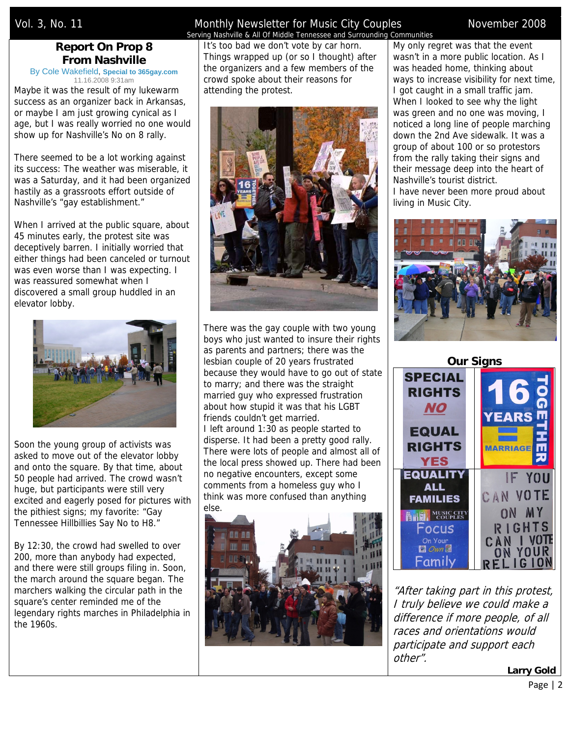# **Report On Prop 8 From Nashville**

By Cole Wakefield, **Special to 365gay.com** 11.16.2008 9:31am

Maybe it was the result of my lukewarm success as an organizer back in Arkansas, or maybe I am just growing cynical as I age, but I was really worried no one would show up for Nashville's No on 8 rally.

There seemed to be a lot working against its success: The weather was miserable, it was a Saturday, and it had been organized hastily as a grassroots effort outside of Nashville's "gay establishment."

When I arrived at the public square, about 45 minutes early, the protest site was deceptively barren. I initially worried that either things had been canceled or turnout was even worse than I was expecting. I was reassured somewhat when I discovered a small group huddled in an elevator lobby.



Soon the young group of activists was asked to move out of the elevator lobby and onto the square. By that time, about 50 people had arrived. The crowd wasn't huge, but participants were still very excited and eagerly posed for pictures with the pithiest signs; my favorite: "Gay Tennessee Hillbillies Say No to H8."

By 12:30, the crowd had swelled to over 200, more than anybody had expected, and there were still groups filing in. Soon, the march around the square began. The marchers walking the circular path in the square's center reminded me of the legendary rights marches in Philadelphia in the 1960s.

#### Vol. 3, No. 11 **Noles and Monthly Newsletter for Music City Couples** November 2008 Serving Nashville & All Of Middle Tennessee and Surrounding Communities

It's too bad we don't vote by car horn. Things wrapped up (or so I thought) after the organizers and a few members of the crowd spoke about their reasons for attending the protest.



There was the gay couple with two young boys who just wanted to insure their rights as parents and partners; there was the lesbian couple of 20 years frustrated because they would have to go out of state to marry; and there was the straight married guy who expressed frustration about how stupid it was that his LGBT friends couldn't get married. I left around 1:30 as people started to disperse. It had been a pretty good rally. There were lots of people and almost all of the local press showed up. There had been no negative encounters, except some comments from a homeless guy who I think was more confused than anything else.



My only regret was that the event wasn't in a more public location. As I was headed home, thinking about ways to increase visibility for next time, I got caught in a small traffic jam. When I looked to see why the light was green and no one was moving, I noticed a long line of people marching down the 2nd Ave sidewalk. It was a group of about 100 or so protestors from the rally taking their signs and their message deep into the heart of Nashville's tourist district. I have never been more proud about living in Music City.





"After taking part in this protest, I truly believe we could make a difference if more people, of all races and orientations would participate and support each other".